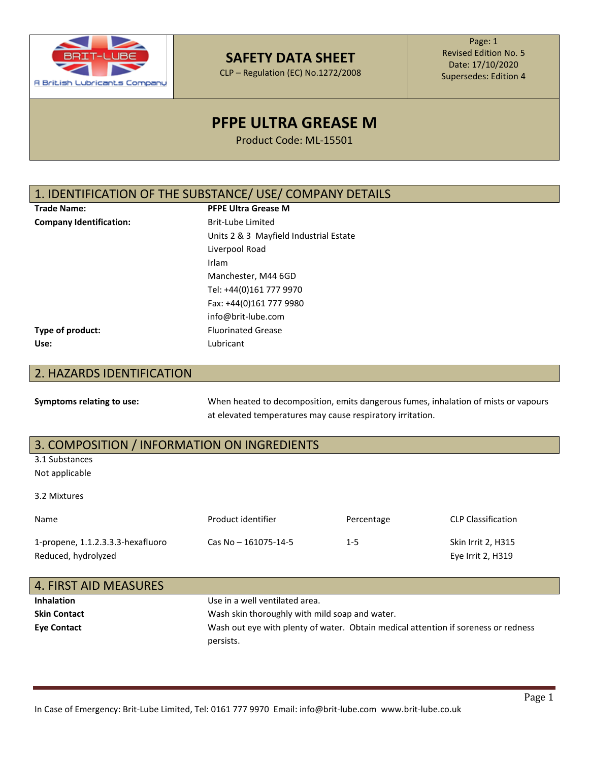

CLP – Regulation (EC) No.1272/2008

Page: 1 Revised Edition No. 5 Date: 17/10/2020 Supersedes: Edition 4

# **PFPE ULTRA GREASE M**

Product Code: ML-15501

## 1. IDENTIFICATION OF THE SUBSTANCE/ USE/ COMPANY DETAILS

| <b>Trade Name:</b> |
|--------------------|
|                    |

**PFPE Ultra Grease M Company Identification:** Brit-Lube Limited Units 2 & 3 Mayfield Industrial Estate Liverpool Road Irlam Manchester, M44 6GD Tel: +44(0)161 777 9970 Fax: +44(0)161 777 9980 [info@brit-lube.com](mailto:info@brit-lube.com) **Type of product:** Fluorinated Grease

**Use:** Lubricant

## 2. HAZARDS IDENTIFICATION

**Symptoms relating to use:** When heated to decomposition, emits dangerous fumes, inhalation of mists or vapours at elevated temperatures may cause respiratory irritation.

## 3. COMPOSITION / INFORMATION ON INGREDIENTS

3.1 Substances

Not applicable

3.2 Mixtures

| <b>Name</b>                                              | Product identifier   | Percentage | <b>CLP Classification</b>                      |
|----------------------------------------------------------|----------------------|------------|------------------------------------------------|
| 1-propene, 1.1.2.3.3.3-hexafluoro<br>Reduced, hydrolyzed | Cas No - 161075-14-5 | $1 - 5$    | <b>Skin Irrit 2, H315</b><br>Eye Irrit 2, H319 |

| 4. FIRST AID MEASURES |                                                                                    |
|-----------------------|------------------------------------------------------------------------------------|
| <b>Inhalation</b>     | Use in a well ventilated area.                                                     |
| <b>Skin Contact</b>   | Wash skin thoroughly with mild soap and water.                                     |
| <b>Eye Contact</b>    | Wash out eye with plenty of water. Obtain medical attention if soreness or redness |
|                       | persists.                                                                          |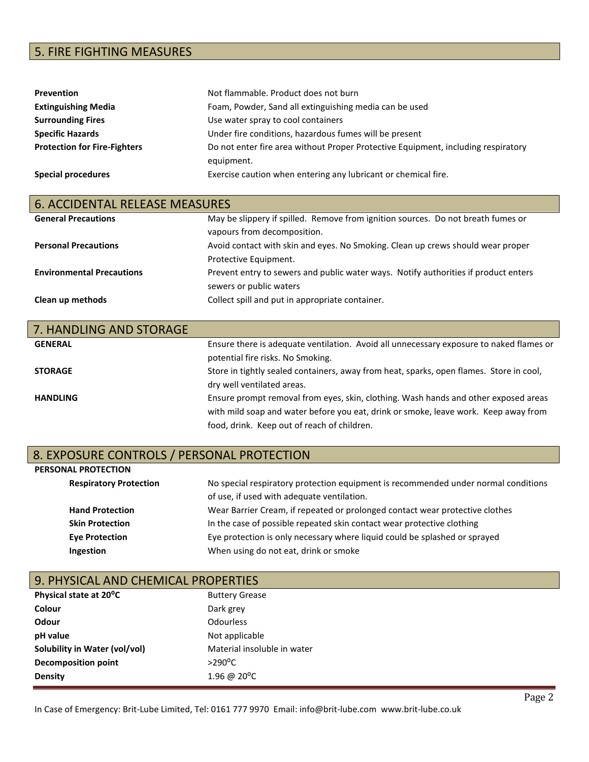## 5. FIRE FIGHTING MEASURES

| Prevention                          | Not flammable. Product does not burn                                              |
|-------------------------------------|-----------------------------------------------------------------------------------|
| <b>Extinguishing Media</b>          | Foam, Powder, Sand all extinguishing media can be used                            |
| <b>Surrounding Fires</b>            | Use water spray to cool containers                                                |
| <b>Specific Hazards</b>             | Under fire conditions, hazardous fumes will be present                            |
| <b>Protection for Fire-Fighters</b> | Do not enter fire area without Proper Protective Equipment, including respiratory |
|                                     | equipment.                                                                        |
| <b>Special procedures</b>           | Exercise caution when entering any lubricant or chemical fire.                    |

| <b>6. ACCIDENTAL RELEASE MEASURES</b> |                                                                                                                 |
|---------------------------------------|-----------------------------------------------------------------------------------------------------------------|
| <b>General Precautions</b>            | May be slippery if spilled. Remove from ignition sources. Do not breath fumes or<br>vapours from decomposition. |
| <b>Personal Precautions</b>           | Avoid contact with skin and eyes. No Smoking. Clean up crews should wear proper<br>Protective Equipment.        |
| <b>Environmental Precautions</b>      | Prevent entry to sewers and public water ways. Notify authorities if product enters<br>sewers or public waters  |
| Clean up methods                      | Collect spill and put in appropriate container.                                                                 |

| 7. HANDLING AND STORAGE |                                                                                         |
|-------------------------|-----------------------------------------------------------------------------------------|
| <b>GENERAL</b>          | Ensure there is adequate ventilation. Avoid all unnecessary exposure to naked flames or |
|                         | potential fire risks. No Smoking.                                                       |
| <b>STORAGE</b>          | Store in tightly sealed containers, away from heat, sparks, open flames. Store in cool, |
|                         | dry well ventilated areas.                                                              |
| <b>HANDLING</b>         | Ensure prompt removal from eyes, skin, clothing. Wash hands and other exposed areas     |
|                         | with mild soap and water before you eat, drink or smoke, leave work. Keep away from     |
|                         | food, drink. Keep out of reach of children.                                             |

# 8. EXPOSURE CONTROLS / PERSONAL PROTECTION<br>PERSONAL PROTECTION

| <b>PERSONAL PROTECTION</b>    |                                                                                                                                  |
|-------------------------------|----------------------------------------------------------------------------------------------------------------------------------|
| <b>Respiratory Protection</b> | No special respiratory protection equipment is recommended under normal conditions<br>of use, if used with adequate ventilation. |
| <b>Hand Protection</b>        | Wear Barrier Cream, if repeated or prolonged contact wear protective clothes                                                     |
| <b>Skin Protection</b>        | In the case of possible repeated skin contact wear protective clothing                                                           |
| <b>Eye Protection</b>         | Eye protection is only necessary where liquid could be splashed or sprayed                                                       |
| Ingestion                     | When using do not eat, drink or smoke                                                                                            |

| 9. PHYSICAL AND CHEMICAL PROPERTIES |                             |
|-------------------------------------|-----------------------------|
| Physical state at 20°C              | <b>Buttery Grease</b>       |
| Colour                              | Dark grey                   |
| Odour                               | <b>Odourless</b>            |
| pH value                            | Not applicable              |
| Solubility in Water (vol/vol)       | Material insoluble in water |
| <b>Decomposition point</b>          | $>290^{\circ}$ C            |
| <b>Density</b>                      | 1.96 @ 20°C                 |